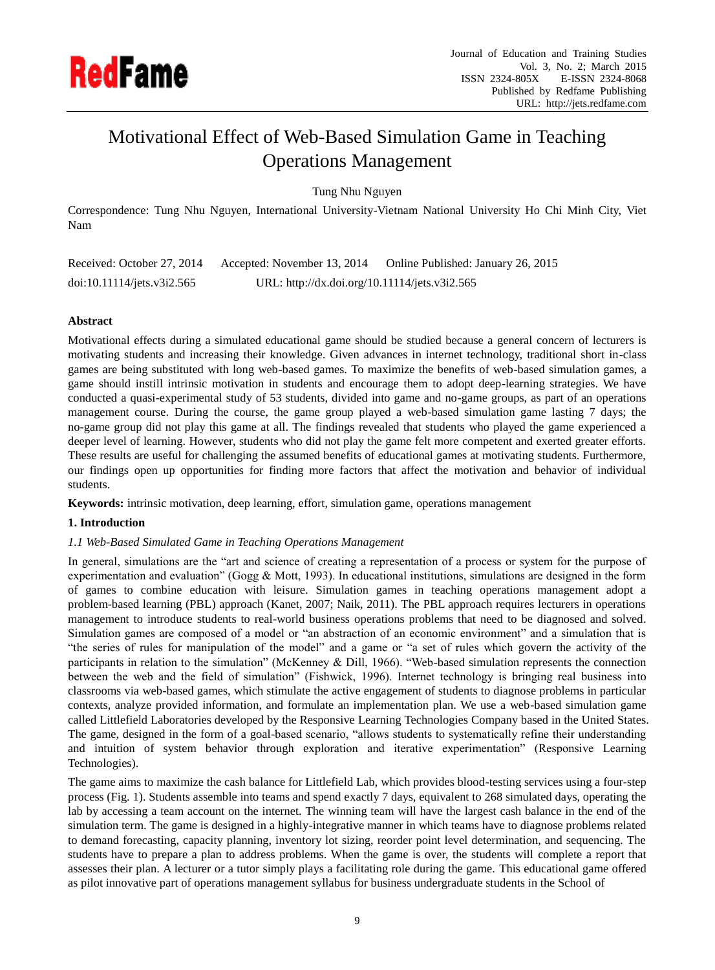

# Motivational Effect of Web-Based Simulation Game in Teaching Operations Management

Tung Nhu Nguyen

Correspondence: Tung Nhu Nguyen, International University-Vietnam National University Ho Chi Minh City, Viet Nam

| Received: October 27, 2014 | Accepted: November 13, 2014                   | Online Published: January 26, 2015 |
|----------------------------|-----------------------------------------------|------------------------------------|
| doi:10.11114/jets.v3i2.565 | URL: http://dx.doi.org/10.11114/jets.v3i2.565 |                                    |

# **Abstract**

Motivational effects during a simulated educational game should be studied because a general concern of lecturers is motivating students and increasing their knowledge. Given advances in internet technology, traditional short in-class games are being substituted with long web-based games. To maximize the benefits of web-based simulation games, a game should instill intrinsic motivation in students and encourage them to adopt deep-learning strategies. We have conducted a quasi-experimental study of 53 students, divided into game and no-game groups, as part of an operations management course. During the course, the game group played a web-based simulation game lasting 7 days; the no-game group did not play this game at all. The findings revealed that students who played the game experienced a deeper level of learning. However, students who did not play the game felt more competent and exerted greater efforts. These results are useful for challenging the assumed benefits of educational games at motivating students. Furthermore, our findings open up opportunities for finding more factors that affect the motivation and behavior of individual students.

**Keywords:** intrinsic motivation, deep learning, effort, simulation game, operations management

# **1. Introduction**

# *1.1 Web-Based Simulated Game in Teaching Operations Management*

In general, simulations are the "art and science of creating a representation of a process or system for the purpose of experimentation and evaluation" (Gogg & Mott, 1993). In educational institutions, simulations are designed in the form of games to combine education with leisure. Simulation games in teaching operations management adopt a problem-based learning (PBL) approach (Kanet, 2007; Naik, 2011). The PBL approach requires lecturers in operations management to introduce students to real-world business operations problems that need to be diagnosed and solved. Simulation games are composed of a model or "an abstraction of an economic environment" and a simulation that is "the series of rules for manipulation of the model" and a game or "a set of rules which govern the activity of the participants in relation to the simulation" (McKenney & Dill, 1966). "Web-based simulation represents the connection between the web and the field of simulation" (Fishwick, 1996). Internet technology is bringing real business into classrooms via web-based games, which stimulate the active engagement of students to diagnose problems in particular contexts, analyze provided information, and formulate an implementation plan. We use a web-based simulation game called Littlefield Laboratories developed by the Responsive Learning Technologies Company based in the United States. The game, designed in the form of a goal-based scenario, "allows students to systematically refine their understanding and intuition of system behavior through exploration and iterative experimentation" (Responsive Learning Technologies).

The game aims to maximize the cash balance for Littlefield Lab, which provides blood-testing services using a four-step process (Fig. 1). Students assemble into teams and spend exactly 7 days, equivalent to 268 simulated days, operating the lab by accessing a team account on the internet. The winning team will have the largest cash balance in the end of the simulation term. The game is designed in a highly-integrative manner in which teams have to diagnose problems related to demand forecasting, capacity planning, inventory lot sizing, reorder point level determination, and sequencing. The students have to prepare a plan to address problems. When the game is over, the students will complete a report that assesses their plan. A lecturer or a tutor simply plays a facilitating role during the game. This educational game offered as pilot innovative part of operations management syllabus for business undergraduate students in the School of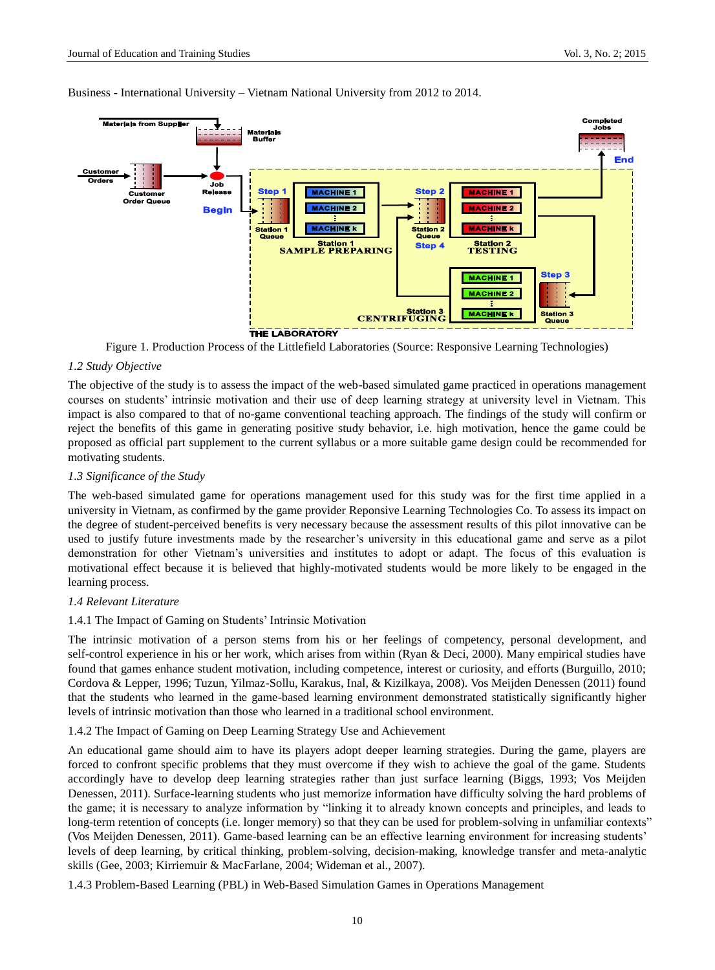

Business - International University – Vietnam National University from 2012 to 2014.

Figure 1. Production Process of the Littlefield Laboratories (Source: Responsive Learning Technologies)

## *1.2 Study Objective*

The objective of the study is to assess the impact of the web-based simulated game practiced in operations management courses on students' intrinsic motivation and their use of deep learning strategy at university level in Vietnam. This impact is also compared to that of no-game conventional teaching approach. The findings of the study will confirm or reject the benefits of this game in generating positive study behavior, i.e. high motivation, hence the game could be proposed as official part supplement to the current syllabus or a more suitable game design could be recommended for motivating students.

# *1.3 Significance of the Study*

The web-based simulated game for operations management used for this study was for the first time applied in a university in Vietnam, as confirmed by the game provider Reponsive Learning Technologies Co. To assess its impact on the degree of student-perceived benefits is very necessary because the assessment results of this pilot innovative can be used to justify future investments made by the researcher's university in this educational game and serve as a pilot demonstration for other Vietnam's universities and institutes to adopt or adapt. The focus of this evaluation is motivational effect because it is believed that highly-motivated students would be more likely to be engaged in the learning process.

#### *1.4 Relevant Literature*

#### 1.4.1 The Impact of Gaming on Students' Intrinsic Motivation

The intrinsic motivation of a person stems from his or her feelings of competency, personal development, and self-control experience in his or her work, which arises from within (Ryan & Deci, 2000). Many empirical studies have found that games enhance student motivation, including competence, interest or curiosity, and efforts (Burguillo, 2010; Cordova & Lepper, 1996; Tuzun, Yilmaz-Sollu, Karakus, Inal, & Kizilkaya, 2008). Vos Meijden Denessen (2011) found that the students who learned in the game-based learning environment demonstrated statistically significantly higher levels of intrinsic motivation than those who learned in a traditional school environment.

1.4.2 The Impact of Gaming on Deep Learning Strategy Use and Achievement

An educational game should aim to have its players adopt deeper learning strategies. During the game, players are forced to confront specific problems that they must overcome if they wish to achieve the goal of the game. Students accordingly have to develop deep learning strategies rather than just surface learning (Biggs, 1993; Vos Meijden Denessen, 2011). Surface-learning students who just memorize information have difficulty solving the hard problems of the game; it is necessary to analyze information by "linking it to already known concepts and principles, and leads to long-term retention of concepts (i.e. longer memory) so that they can be used for problem-solving in unfamiliar contexts" (Vos Meijden Denessen, 2011). Game-based learning can be an effective learning environment for increasing students' levels of deep learning, by critical thinking, problem-solving, decision-making, knowledge transfer and meta-analytic skills (Gee, 2003; Kirriemuir & MacFarlane, 2004; Wideman et al., 2007).

1.4.3 Problem-Based Learning (PBL) in Web-Based Simulation Games in Operations Management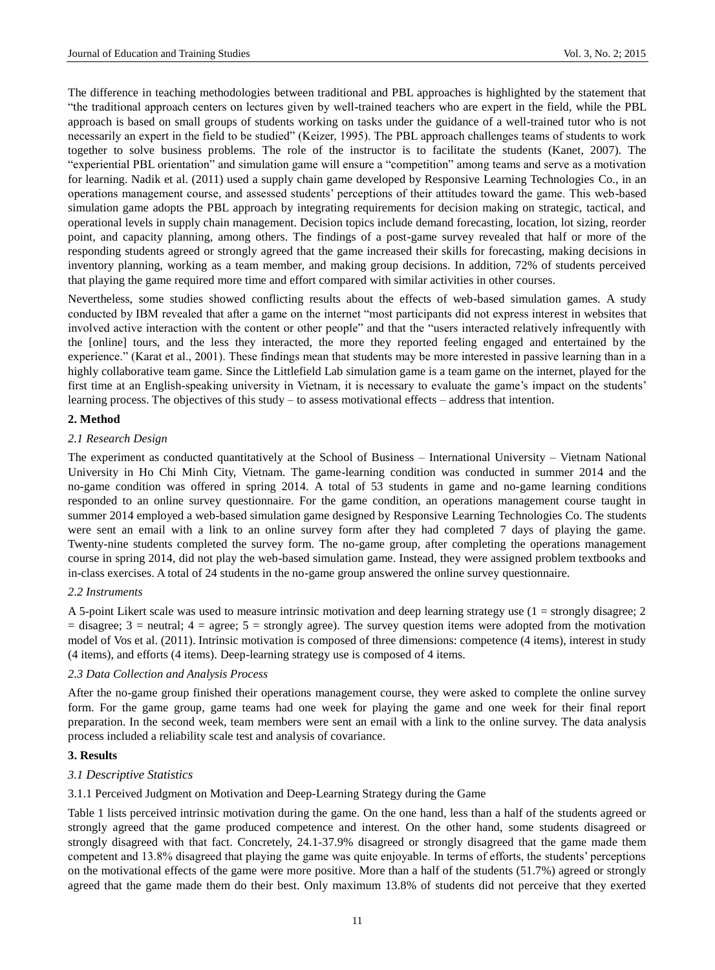The difference in teaching methodologies between traditional and PBL approaches is highlighted by the statement that "the traditional approach centers on lectures given by well-trained teachers who are expert in the field, while the PBL approach is based on small groups of students working on tasks under the guidance of a well-trained tutor who is not necessarily an expert in the field to be studied" (Keizer, 1995). The PBL approach challenges teams of students to work together to solve business problems. The role of the instructor is to facilitate the students (Kanet, 2007). The "experiential PBL orientation" and simulation game will ensure a "competition" among teams and serve as a motivation for learning. Nadik et al. (2011) used a supply chain game developed by Responsive Learning Technologies Co., in an operations management course, and assessed students' perceptions of their attitudes toward the game. This web-based simulation game adopts the PBL approach by integrating requirements for decision making on strategic, tactical, and operational levels in supply chain management. Decision topics include demand forecasting, location, lot sizing, reorder point, and capacity planning, among others. The findings of a post-game survey revealed that half or more of the responding students agreed or strongly agreed that the game increased their skills for forecasting, making decisions in inventory planning, working as a team member, and making group decisions. In addition, 72% of students perceived that playing the game required more time and effort compared with similar activities in other courses.

Nevertheless, some studies showed conflicting results about the effects of web-based simulation games. A study conducted by IBM revealed that after a game on the internet "most participants did not express interest in websites that involved active interaction with the content or other people" and that the "users interacted relatively infrequently with the [online] tours, and the less they interacted, the more they reported feeling engaged and entertained by the experience." (Karat et al., 2001). These findings mean that students may be more interested in passive learning than in a highly collaborative team game. Since the Littlefield Lab simulation game is a team game on the internet, played for the first time at an English-speaking university in Vietnam, it is necessary to evaluate the game's impact on the students' learning process. The objectives of this study – to assess motivational effects – address that intention.

## **2. Method**

#### *2.1 Research Design*

The experiment as conducted quantitatively at the School of Business – International University – Vietnam National University in Ho Chi Minh City, Vietnam. The game-learning condition was conducted in summer 2014 and the no-game condition was offered in spring 2014. A total of 53 students in game and no-game learning conditions responded to an online survey questionnaire. For the game condition, an operations management course taught in summer 2014 employed a web-based simulation game designed by Responsive Learning Technologies Co. The students were sent an email with a link to an online survey form after they had completed 7 days of playing the game. Twenty-nine students completed the survey form. The no-game group, after completing the operations management course in spring 2014, did not play the web-based simulation game. Instead, they were assigned problem textbooks and in-class exercises. A total of 24 students in the no-game group answered the online survey questionnaire.

#### *2.2 Instruments*

A 5-point Likert scale was used to measure intrinsic motivation and deep learning strategy use (1 = strongly disagree; 2  $=$  disagree; 3  $=$  neutral; 4  $=$  agree; 5  $=$  strongly agree). The survey question items were adopted from the motivation model of Vos et al. (2011). Intrinsic motivation is composed of three dimensions: competence (4 items), interest in study (4 items), and efforts (4 items). Deep-learning strategy use is composed of 4 items.

#### *2.3 Data Collection and Analysis Process*

After the no-game group finished their operations management course, they were asked to complete the online survey form. For the game group, game teams had one week for playing the game and one week for their final report preparation. In the second week, team members were sent an email with a link to the online survey. The data analysis process included a reliability scale test and analysis of covariance.

#### **3. Results**

#### *3.1 Descriptive Statistics*

# 3.1.1 Perceived Judgment on Motivation and Deep-Learning Strategy during the Game

Table 1 lists perceived intrinsic motivation during the game. On the one hand, less than a half of the students agreed or strongly agreed that the game produced competence and interest. On the other hand, some students disagreed or strongly disagreed with that fact. Concretely, 24.1-37.9% disagreed or strongly disagreed that the game made them competent and 13.8% disagreed that playing the game was quite enjoyable. In terms of efforts, the students' perceptions on the motivational effects of the game were more positive. More than a half of the students (51.7%) agreed or strongly agreed that the game made them do their best. Only maximum 13.8% of students did not perceive that they exerted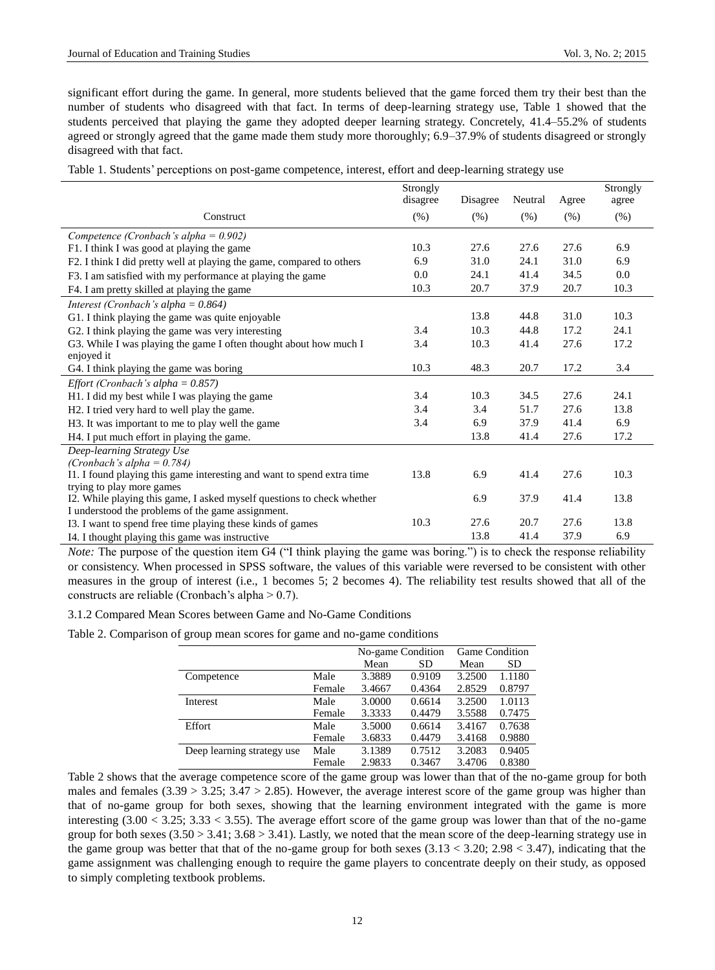significant effort during the game. In general, more students believed that the game forced them try their best than the number of students who disagreed with that fact. In terms of deep-learning strategy use, Table 1 showed that the students perceived that playing the game they adopted deeper learning strategy. Concretely, 41.4–55.2% of students agreed or strongly agreed that the game made them study more thoroughly; 6.9–37.9% of students disagreed or strongly disagreed with that fact.

Table 1. Students' perceptions on post-game competence, interest, effort and deep-learning strategy use

|                                                                        | Strongly |          |         |       | Strongly |
|------------------------------------------------------------------------|----------|----------|---------|-------|----------|
|                                                                        | disagree | Disagree | Neutral | Agree | agree    |
| Construct                                                              | $(\%)$   | $(\%)$   | (%)     | (% )  | $(\%)$   |
| Competence (Cronbach's alpha = $0.902$ )                               |          |          |         |       |          |
| F1. I think I was good at playing the game                             | 10.3     | 27.6     | 27.6    | 27.6  | 6.9      |
| F2. I think I did pretty well at playing the game, compared to others  | 6.9      | 31.0     | 24.1    | 31.0  | 6.9      |
| F3. I am satisfied with my performance at playing the game             | 0.0      | 24.1     | 41.4    | 34.5  | 0.0      |
| F4. I am pretty skilled at playing the game                            | 10.3     | 20.7     | 37.9    | 20.7  | 10.3     |
| Interest (Cronbach's alpha = $0.864$ )                                 |          |          |         |       |          |
| G1. I think playing the game was quite enjoyable                       |          | 13.8     | 44.8    | 31.0  | 10.3     |
| G2. I think playing the game was very interesting                      | 3.4      | 10.3     | 44.8    | 17.2  | 24.1     |
| G3. While I was playing the game I often thought about how much I      | 3.4      | 10.3     | 41.4    | 27.6  | 17.2     |
| enjoyed it                                                             |          |          |         |       |          |
| G4. I think playing the game was boring                                | 10.3     | 48.3     | 20.7    | 17.2  | 3.4      |
| Effort (Cronbach's alpha = $0.857$ )                                   |          |          |         |       |          |
| H1. I did my best while I was playing the game                         | 3.4      | 10.3     | 34.5    | 27.6  | 24.1     |
| H2. I tried very hard to well play the game.                           | 3.4      | 3.4      | 51.7    | 27.6  | 13.8     |
| H3. It was important to me to play well the game                       | 3.4      | 6.9      | 37.9    | 41.4  | 6.9      |
| H4. I put much effort in playing the game.                             |          | 13.8     | 41.4    | 27.6  | 17.2     |
| Deep-learning Strategy Use                                             |          |          |         |       |          |
| (Cronbach's alpha = $0.784$ )                                          |          |          |         |       |          |
| I1. I found playing this game interesting and want to spend extra time | 13.8     | 6.9      | 41.4    | 27.6  | 10.3     |
| trying to play more games                                              |          |          |         |       |          |
| I2. While playing this game, I asked myself questions to check whether |          | 6.9      | 37.9    | 41.4  | 13.8     |
| I understood the problems of the game assignment.                      |          |          |         |       |          |
| I3. I want to spend free time playing these kinds of games             | 10.3     | 27.6     | 20.7    | 27.6  | 13.8     |
| I4. I thought playing this game was instructive                        |          | 13.8     | 41.4    | 37.9  | 6.9      |

*Note:* The purpose of the question item G4 ("I think playing the game was boring.") is to check the response reliability or consistency. When processed in SPSS software, the values of this variable were reversed to be consistent with other measures in the group of interest (i.e., 1 becomes 5; 2 becomes 4). The reliability test results showed that all of the constructs are reliable (Cronbach's alpha > 0.7).

3.1.2 Compared Mean Scores between Game and No-Game Conditions

Table 2. Comparison of group mean scores for game and no-game conditions

|                            |        |        | No-game Condition | <b>Game Condition</b> |        |
|----------------------------|--------|--------|-------------------|-----------------------|--------|
|                            |        | Mean   | SD                | Mean                  | SD.    |
| Competence                 | Male   | 3.3889 | 0.9109            | 3.2500                | 1.1180 |
|                            | Female | 3.4667 | 0.4364            | 2.8529                | 0.8797 |
| Interest                   | Male   | 3.0000 | 0.6614            | 3.2500                | 1.0113 |
|                            | Female | 3.3333 | 0.4479            | 3.5588                | 0.7475 |
| Effort                     | Male   | 3.5000 | 0.6614            | 3.4167                | 0.7638 |
|                            | Female | 3.6833 | 0.4479            | 3.4168                | 0.9880 |
| Deep learning strategy use | Male   | 3.1389 | 0.7512            | 3.2083                | 0.9405 |
|                            | Female | 2.9833 | 0.3467            | 3.4706                | 0.8380 |

Table 2 shows that the average competence score of the game group was lower than that of the no-game group for both males and females  $(3.39 > 3.25; 3.47 > 2.85)$ . However, the average interest score of the game group was higher than that of no-game group for both sexes, showing that the learning environment integrated with the game is more interesting (3.00 < 3.25; 3.33 < 3.55). The average effort score of the game group was lower than that of the no-game group for both sexes  $(3.50 > 3.41; 3.68 > 3.41)$ . Lastly, we noted that the mean score of the deep-learning strategy use in the game group was better that that of the no-game group for both sexes  $(3.13 < 3.20; 2.98 < 3.47)$ , indicating that the game assignment was challenging enough to require the game players to concentrate deeply on their study, as opposed to simply completing textbook problems.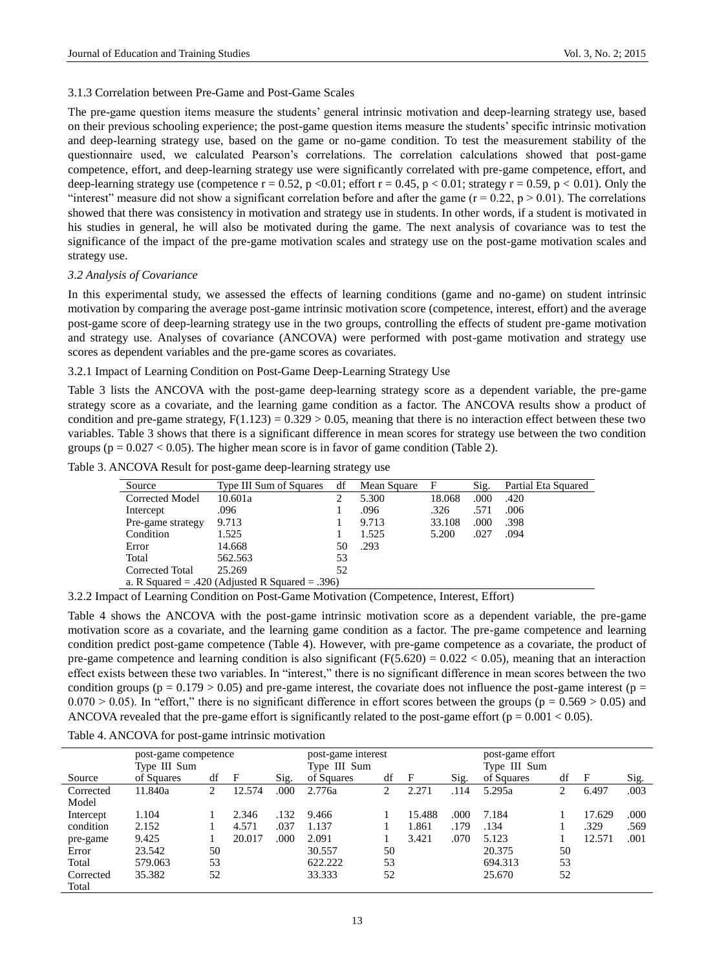## 3.1.3 Correlation between Pre-Game and Post-Game Scales

The pre-game question items measure the students' general intrinsic motivation and deep-learning strategy use, based on their previous schooling experience; the post-game question items measure the students' specific intrinsic motivation and deep-learning strategy use, based on the game or no-game condition. To test the measurement stability of the questionnaire used, we calculated Pearson's correlations. The correlation calculations showed that post-game competence, effort, and deep-learning strategy use were significantly correlated with pre-game competence, effort, and deep-learning strategy use (competence  $r = 0.52$ , p <0.01; effort  $r = 0.45$ , p < 0.01; strategy  $r = 0.59$ , p < 0.01). Only the "interest" measure did not show a significant correlation before and after the game  $(r = 0.22, p > 0.01)$ . The correlations showed that there was consistency in motivation and strategy use in students. In other words, if a student is motivated in his studies in general, he will also be motivated during the game. The next analysis of covariance was to test the significance of the impact of the pre-game motivation scales and strategy use on the post-game motivation scales and strategy use.

## *3.2 Analysis of Covariance*

In this experimental study, we assessed the effects of learning conditions (game and no-game) on student intrinsic motivation by comparing the average post-game intrinsic motivation score (competence, interest, effort) and the average post-game score of deep-learning strategy use in the two groups, controlling the effects of student pre-game motivation and strategy use. Analyses of covariance (ANCOVA) were performed with post-game motivation and strategy use scores as dependent variables and the pre-game scores as covariates.

3.2.1 Impact of Learning Condition on Post-Game Deep-Learning Strategy Use

Table 3 lists the ANCOVA with the post-game deep-learning strategy score as a dependent variable, the pre-game strategy score as a covariate, and the learning game condition as a factor. The ANCOVA results show a product of condition and pre-game strategy,  $F(1.123) = 0.329 > 0.05$ , meaning that there is no interaction effect between these two variables. Table 3 shows that there is a significant difference in mean scores for strategy use between the two condition groups ( $p = 0.027 < 0.05$ ). The higher mean score is in favor of game condition (Table 2).

| Table 3. ANCOVA Result for post-game deep-learning strategy use |  |  |
|-----------------------------------------------------------------|--|--|
|                                                                 |  |  |

| Source                                          | Type III Sum of Squares                          | df | Mean Square | $\mathbf{F}$                  | Sig.                 | Partial Eta Squared |  |
|-------------------------------------------------|--------------------------------------------------|----|-------------|-------------------------------|----------------------|---------------------|--|
| Corrected Model                                 | 10.601a                                          |    | 5.300       | 18.068                        | .000                 | .420                |  |
| Intercept                                       | .096                                             |    | .096        | .326                          | .571                 | .006                |  |
| Pre-game strategy                               | 9.713                                            |    | 9.713       | 33.108                        | .000                 | .398                |  |
| Condition                                       | 1.525                                            |    | 1.525       | 5.200                         | .027                 | .094                |  |
| Error                                           | 14.668                                           | 50 | .293        |                               |                      |                     |  |
| Total                                           | 562.563                                          | 53 |             |                               |                      |                     |  |
| Corrected Total                                 | 25.269                                           | 52 |             |                               |                      |                     |  |
| a. R Squared = .420 (Adjusted R Squared = .396) |                                                  |    |             |                               |                      |                     |  |
| $\sim$ $\sim$ $\sim$ $\sim$<br>$\mathbf{A}$     | $\sim$ $\sim$ $\sim$ $\sim$ $\sim$ $\sim$ $\sim$ |    | $\sim$      | $\mathbf{v}$ and $\mathbf{v}$ | $\sim$ $\sim$ $\sim$ |                     |  |

3.2.2 Impact of Learning Condition on Post-Game Motivation (Competence, Interest, Effort)

Table 4 shows the ANCOVA with the post-game intrinsic motivation score as a dependent variable, the pre-game motivation score as a covariate, and the learning game condition as a factor. The pre-game competence and learning condition predict post-game competence (Table 4). However, with pre-game competence as a covariate, the product of pre-game competence and learning condition is also significant  $(F(5.620) = 0.022 < 0.05)$ , meaning that an interaction effect exists between these two variables. In "interest," there is no significant difference in mean scores between the two condition groups ( $p = 0.179 > 0.05$ ) and pre-game interest, the covariate does not influence the post-game interest ( $p =$  $0.070 > 0.05$ ). In "effort," there is no significant difference in effort scores between the groups (p = 0.569 > 0.05) and ANCOVA revealed that the pre-game effort is significantly related to the post-game effort ( $p = 0.001 < 0.05$ ).

Table 4. ANCOVA for post-game intrinsic motivation

|           | post-game competence |    |        |      | post-game interest |    |        |       | post-game effort |    |        |      |
|-----------|----------------------|----|--------|------|--------------------|----|--------|-------|------------------|----|--------|------|
|           | Type III Sum         |    |        |      | Type III Sum       |    |        |       | Type III Sum     |    |        |      |
| Source    | of Squares           | df | F      | Sig. | of Squares         | df | F      | Sig.  | of Squares       | df | F      | Sig. |
| Corrected | 11.840a              | 2  | 12.574 | .000 | 2.776a             |    | 2.271  | .114  | 5.295a           | 2  | 6.497  | .003 |
| Model     |                      |    |        |      |                    |    |        |       |                  |    |        |      |
| Intercept | 1.104                |    | 2.346  | .132 | 9.466              |    | 15.488 | .000. | 7.184            |    | 17.629 | .000 |
| condition | 2.152                |    | 4.571  | .037 | 1.137              |    | 1.861  | .179  | .134             |    | .329   | .569 |
| pre-game  | 9.425                |    | 20.017 | .000 | 2.091              |    | 3.421  | .070  | 5.123            |    | 12.571 | .001 |
| Error     | 23.542               | 50 |        |      | 30.557             | 50 |        |       | 20.375           | 50 |        |      |
| Total     | 579.063              | 53 |        |      | 622.222            | 53 |        |       | 694.313          | 53 |        |      |
| Corrected | 35.382               | 52 |        |      | 33.333             | 52 |        |       | 25.670           | 52 |        |      |
| Total     |                      |    |        |      |                    |    |        |       |                  |    |        |      |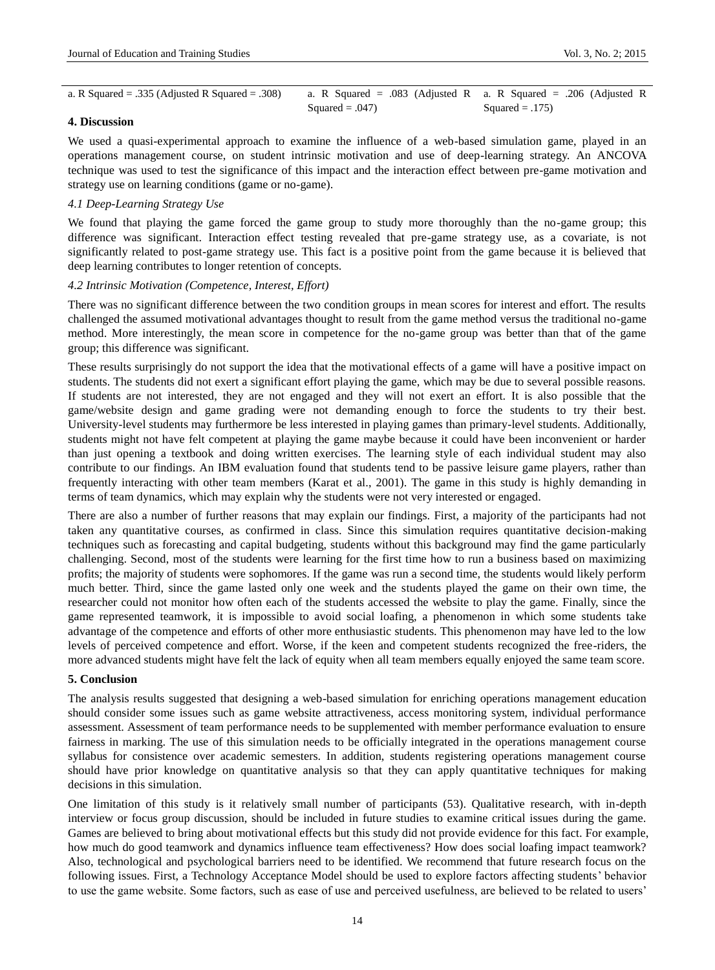| a. R Squared = $.335$ (Adjusted R Squared = $.308$ ) | a. R Squared = .083 (Adjusted R a. R Squared = .206 (Adjusted R |                  |
|------------------------------------------------------|-----------------------------------------------------------------|------------------|
|                                                      | Squared = $.047$ )                                              | $Squared = .175$ |

# **4. Discussion**

We used a quasi-experimental approach to examine the influence of a web-based simulation game, played in an operations management course, on student intrinsic motivation and use of deep-learning strategy. An ANCOVA technique was used to test the significance of this impact and the interaction effect between pre-game motivation and strategy use on learning conditions (game or no-game).

# *4.1 Deep-Learning Strategy Use*

We found that playing the game forced the game group to study more thoroughly than the no-game group; this difference was significant. Interaction effect testing revealed that pre-game strategy use, as a covariate, is not significantly related to post-game strategy use. This fact is a positive point from the game because it is believed that deep learning contributes to longer retention of concepts.

## *4.2 Intrinsic Motivation (Competence, Interest, Effort)*

There was no significant difference between the two condition groups in mean scores for interest and effort. The results challenged the assumed motivational advantages thought to result from the game method versus the traditional no-game method. More interestingly, the mean score in competence for the no-game group was better than that of the game group; this difference was significant.

These results surprisingly do not support the idea that the motivational effects of a game will have a positive impact on students. The students did not exert a significant effort playing the game, which may be due to several possible reasons. If students are not interested, they are not engaged and they will not exert an effort. It is also possible that the game/website design and game grading were not demanding enough to force the students to try their best. University-level students may furthermore be less interested in playing games than primary-level students. Additionally, students might not have felt competent at playing the game maybe because it could have been inconvenient or harder than just opening a textbook and doing written exercises. The learning style of each individual student may also contribute to our findings. An IBM evaluation found that students tend to be passive leisure game players, rather than frequently interacting with other team members (Karat et al., 2001). The game in this study is highly demanding in terms of team dynamics, which may explain why the students were not very interested or engaged.

There are also a number of further reasons that may explain our findings. First, a majority of the participants had not taken any quantitative courses, as confirmed in class. Since this simulation requires quantitative decision-making techniques such as forecasting and capital budgeting, students without this background may find the game particularly challenging. Second, most of the students were learning for the first time how to run a business based on maximizing profits; the majority of students were sophomores. If the game was run a second time, the students would likely perform much better. Third, since the game lasted only one week and the students played the game on their own time, the researcher could not monitor how often each of the students accessed the website to play the game. Finally, since the game represented teamwork, it is impossible to avoid social loafing, a phenomenon in which some students take advantage of the competence and efforts of other more enthusiastic students. This phenomenon may have led to the low levels of perceived competence and effort. Worse, if the keen and competent students recognized the free-riders, the more advanced students might have felt the lack of equity when all team members equally enjoyed the same team score.

#### **5. Conclusion**

The analysis results suggested that designing a web-based simulation for enriching operations management education should consider some issues such as game website attractiveness, access monitoring system, individual performance assessment. Assessment of team performance needs to be supplemented with member performance evaluation to ensure fairness in marking. The use of this simulation needs to be officially integrated in the operations management course syllabus for consistence over academic semesters. In addition, students registering operations management course should have prior knowledge on quantitative analysis so that they can apply quantitative techniques for making decisions in this simulation.

One limitation of this study is it relatively small number of participants (53). Qualitative research, with in-depth interview or focus group discussion, should be included in future studies to examine critical issues during the game. Games are believed to bring about motivational effects but this study did not provide evidence for this fact. For example, how much do good teamwork and dynamics influence team effectiveness? How does social loafing impact teamwork? Also, technological and psychological barriers need to be identified. We recommend that future research focus on the following issues. First, a Technology Acceptance Model should be used to explore factors affecting students' behavior to use the game website. Some factors, such as ease of use and perceived usefulness, are believed to be related to users'